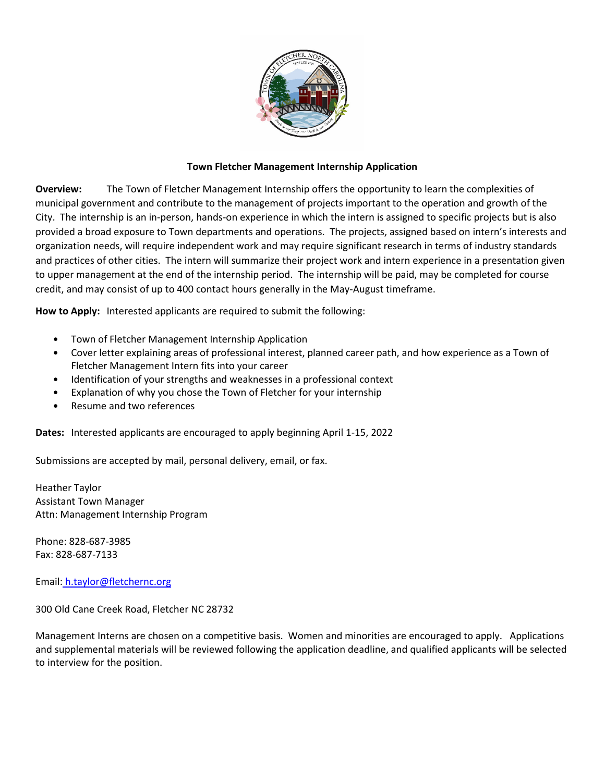

## **Town Fletcher Management Internship Application**

**Overview:** The Town of Fletcher Management Internship offers the opportunity to learn the complexities of municipal government and contribute to the management of projects important to the operation and growth of the City. The internship is an in-person, hands-on experience in which the intern is assigned to specific projects but is also provided a broad exposure to Town departments and operations. The projects, assigned based on intern's interests and organization needs, will require independent work and may require significant research in terms of industry standards and practices of other cities. The intern will summarize their project work and intern experience in a presentation given to upper management at the end of the internship period. The internship will be paid, may be completed for course credit, and may consist of up to 400 contact hours generally in the May-August timeframe.

**How to Apply:** Interested applicants are required to submit the following:

- Town of Fletcher Management Internship Application
- Cover letter explaining areas of professional interest, planned career path, and how experience as a Town of Fletcher Management Intern fits into your career
- Identification of your strengths and weaknesses in a professional context
- Explanation of why you chose the Town of Fletcher for your internship
- Resume and two references

**Dates:** Interested applicants are encouraged to apply beginning April 1-15, 2022

Submissions are accepted by mail, personal delivery, email, or fax.

Heather Taylor Assistant Town Manager Attn: Management Internship Program

Phone: 828-687-3985 Fax: 828-687-7133

Email: h.taylor@fletchernc.org

300 Old Cane Creek Road, Fletcher NC 28732

Management Interns are chosen on a competitive basis. Women and minorities are encouraged to apply. Applications and supplemental materials will be reviewed following the application deadline, and qualified applicants will be selected to interview for the position.